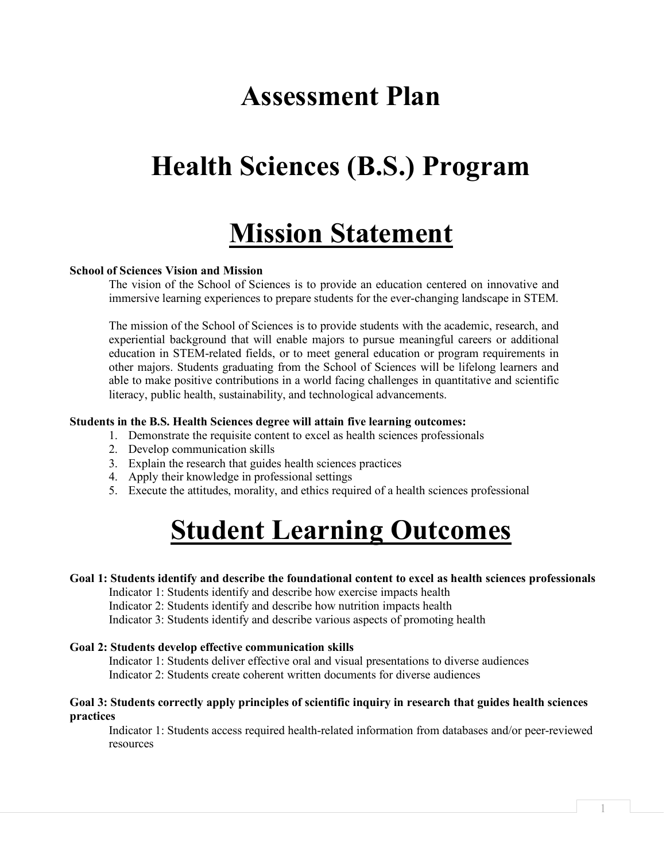# **Assessment Plan**

# **Health Sciences (B.S.) Program**

# **Mission Statement**

## **School of Sciences Vision and Mission**

The vision of the School of Sciences is to provide an education centered on innovative and immersive learning experiences to prepare students for the ever-changing landscape in STEM.

The mission of the School of Sciences is to provide students with the academic, research, and experiential background that will enable majors to pursue meaningful careers or additional education in STEM-related fields, or to meet general education or program requirements in other majors. Students graduating from the School of Sciences will be lifelong learners and able to make positive contributions in a world facing challenges in quantitative and scientific literacy, public health, sustainability, and technological advancements.

#### **Students in the B.S. Health Sciences degree will attain five learning outcomes:**

- 1. Demonstrate the requisite content to excel as health sciences professionals
- 2. Develop communication skills
- 3. Explain the research that guides health sciences practices
- 4. Apply their knowledge in professional settings
- 5. Execute the attitudes, morality, and ethics required of a health sciences professional

# **Student Learning Outcomes**

### **Goal 1: Students identify and describe the foundational content to excel as health sciences professionals**

Indicator 1: Students identify and describe how exercise impacts health Indicator 2: Students identify and describe how nutrition impacts health Indicator 3: Students identify and describe various aspects of promoting health

#### **Goal 2: Students develop effective communication skills**

Indicator 1: Students deliver effective oral and visual presentations to diverse audiences Indicator 2: Students create coherent written documents for diverse audiences

#### **Goal 3: Students correctly apply principles of scientific inquiry in research that guides health sciences practices**

Indicator 1: Students access required health-related information from databases and/or peer-reviewed resources